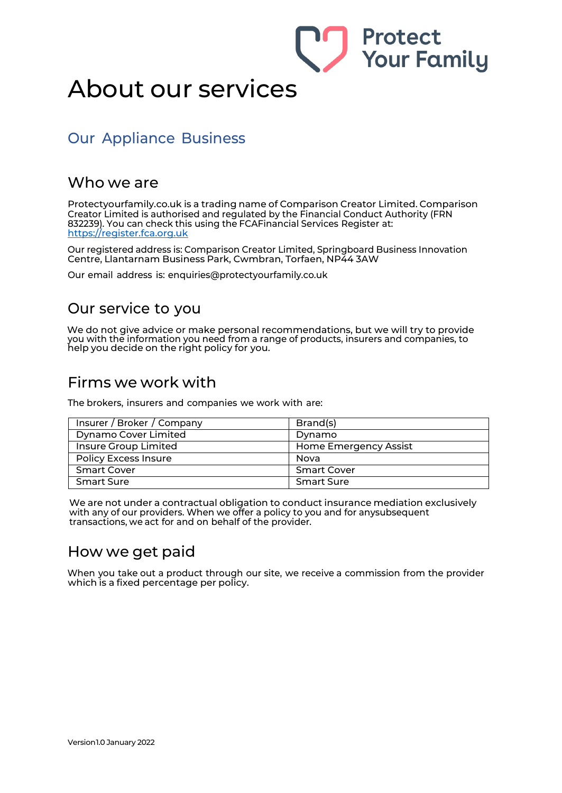# About our services

## Our Appliance Business

#### Who we are

Protectyourfamily.co.uk is a trading name of Comparison Creator Limited. Comparison Creator Limited is authorised and regulated by the Financial Conduct Authority (FRN 832239). You can check this using the FCAFinancial Services Register at: https://register.fca.org.uk

**Protect** 

**Your Family** 

Our registered address is: Comparison Creator Limited, Springboard Business Innovation Centre, Llantarnam Business Park, Cwmbran, Torfaen, NP44 3AW

Our email address is: [enquiries@protectyourfamily.co.uk](mailto:enquiries@protectyourfamily.co.uk)

### Our service to you

We do not give advice or make personal recommendations, but we will try to provide you with the information you need from a range of products, insurers and companies, to help you decide on the right policy for you.

#### Firms we work with

The brokers, insurers and companies we work with are:

| Insurer / Broker / Company  | Brand(s)              |
|-----------------------------|-----------------------|
| <b>Dynamo Cover Limited</b> | Dynamo                |
| Insure Group Limited        | Home Emergency Assist |
| <b>Policy Excess Insure</b> | Nova                  |
| <b>Smart Cover</b>          | <b>Smart Cover</b>    |
| <b>Smart Sure</b>           | <b>Smart Sure</b>     |

We are not under a contractual obligation to conduct insurance mediation exclusively with any of our providers. When we offer a policy to you and for anysubsequent transactions, we act for and on behalf of the provider.

### How we get paid

When you take out a product through our site, we receive a commission from the provider which is a fixed percentage per policy.